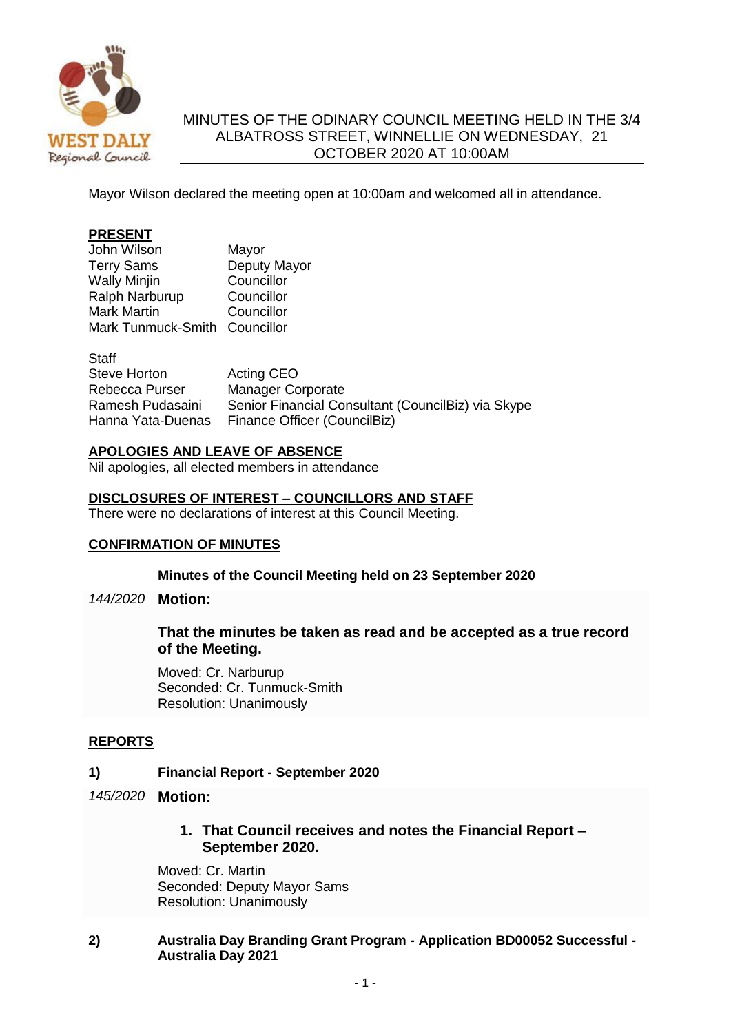

# MINUTES OF THE ODINARY COUNCIL MEETING HELD IN THE 3/4 ALBATROSS STREET, WINNELLIE ON WEDNESDAY, 21 OCTOBER 2020 AT 10:00AM

Mayor Wilson declared the meeting open at 10:00am and welcomed all in attendance.

### **PRESENT**

| John Wilson                   | Mayor        |
|-------------------------------|--------------|
| <b>Terry Sams</b>             | Deputy Mayor |
| <b>Wally Minjin</b>           | Councillor   |
| Ralph Narburup                | Councillor   |
| <b>Mark Martin</b>            | Councillor   |
| Mark Tunmuck-Smith Councillor |              |

**Staff** Steve Horton Acting CEO Rebecca Purser Manager Corporate Ramesh Pudasaini Senior Financial Consultant (CouncilBiz) via Skype Hanna Yata-Duenas Finance Officer (CouncilBiz)

#### **APOLOGIES AND LEAVE OF ABSENCE**

Nil apologies, all elected members in attendance

#### **DISCLOSURES OF INTEREST – COUNCILLORS AND STAFF**

There were no declarations of interest at this Council Meeting.

### **CONFIRMATION OF MINUTES**

#### **Minutes of the Council Meeting held on 23 September 2020**

*144/2020* **Motion:**

### **That the minutes be taken as read and be accepted as a true record of the Meeting.**

Moved: Cr. Narburup Seconded: Cr. Tunmuck-Smith Resolution: Unanimously

### **REPORTS**

### **1) Financial Report - September 2020**

- *145/2020* **Motion:**
	- **1. That Council receives and notes the Financial Report – September 2020.**

Moved: Cr. Martin Seconded: Deputy Mayor Sams Resolution: Unanimously

### **2) Australia Day Branding Grant Program - Application BD00052 Successful - Australia Day 2021**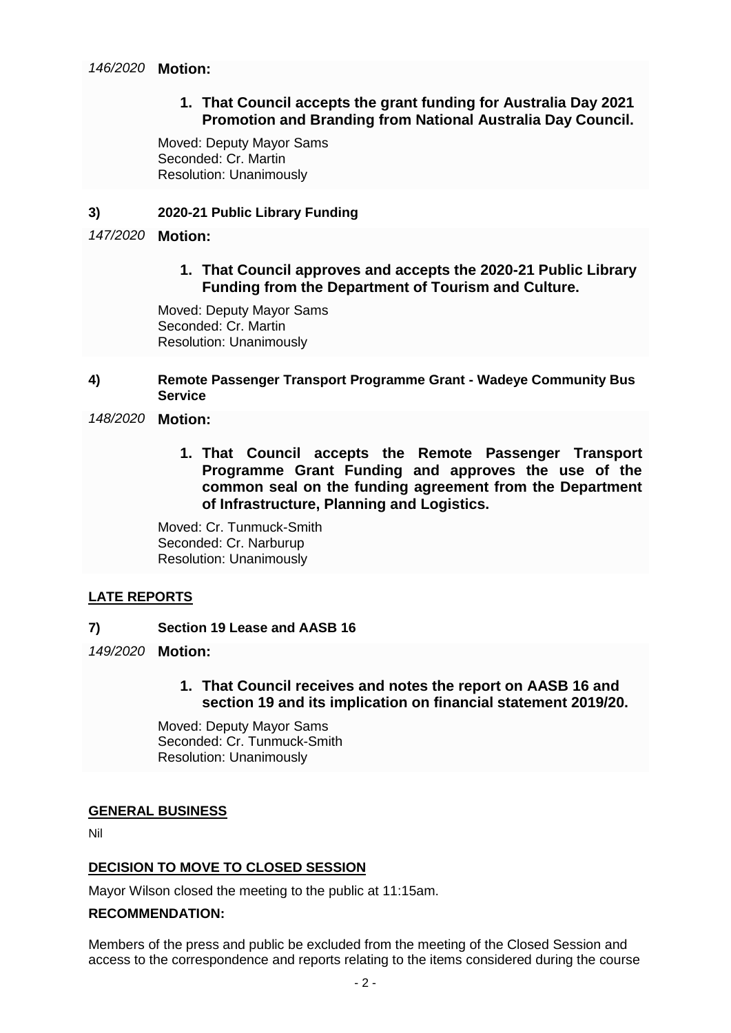## **1. That Council accepts the grant funding for Australia Day 2021 Promotion and Branding from National Australia Day Council.**

Moved: Deputy Mayor Sams Seconded: Cr. Martin Resolution: Unanimously

### **3) 2020-21 Public Library Funding**

## *147/2020* **Motion:**

# **1. That Council approves and accepts the 2020-21 Public Library Funding from the Department of Tourism and Culture.**

Moved: Deputy Mayor Sams Seconded: Cr. Martin Resolution: Unanimously

### **4) Remote Passenger Transport Programme Grant - Wadeye Community Bus Service**

## *148/2020* **Motion:**

**1. That Council accepts the Remote Passenger Transport Programme Grant Funding and approves the use of the common seal on the funding agreement from the Department of Infrastructure, Planning and Logistics.**

Moved: Cr. Tunmuck-Smith Seconded: Cr. Narburup Resolution: Unanimously

## **LATE REPORTS**

- **7) Section 19 Lease and AASB 16**
- *149/2020* **Motion:**
	- **1. That Council receives and notes the report on AASB 16 and section 19 and its implication on financial statement 2019/20.**

Moved: Deputy Mayor Sams Seconded: Cr. Tunmuck-Smith Resolution: Unanimously

### **GENERAL BUSINESS**

Nil

## **DECISION TO MOVE TO CLOSED SESSION**

Mayor Wilson closed the meeting to the public at 11:15am.

### **RECOMMENDATION:**

Members of the press and public be excluded from the meeting of the Closed Session and access to the correspondence and reports relating to the items considered during the course